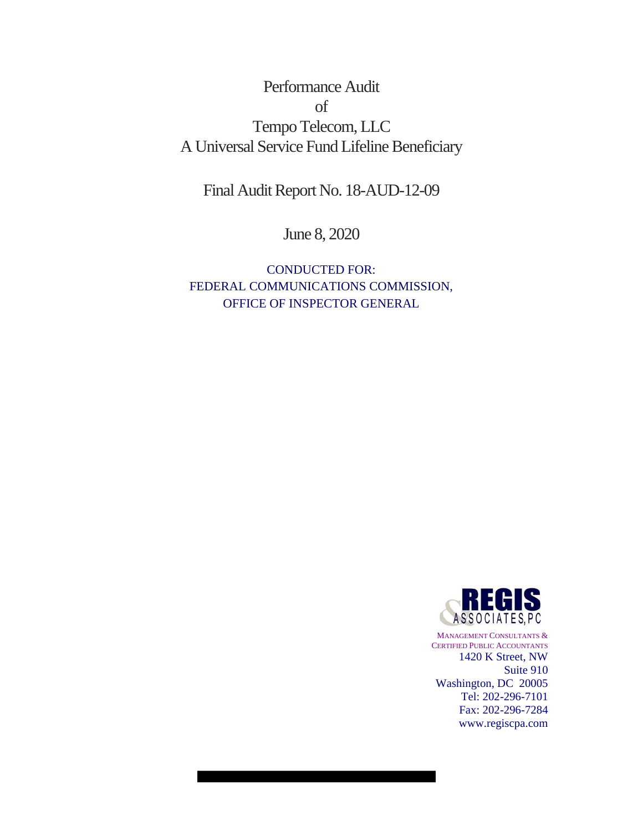# Performance Audit of Tempo Telecom, LLC A Universal Service Fund Lifeline Beneficiary

Final Audit Report No. 18-AUD-12-09

June 8, 2020

CONDUCTED FOR: FEDERAL COMMUNICATIONS COMMISSION, OFFICE OF INSPECTOR GENERAL



MANAGEMENT CONSULTANTS & CERTIFIED PUBLIC ACCOUNTANTS 1420 K Street, NW Suite 910 Washington, DC 20005 Tel: 202-296-7101 Fax: 202-296-7284 www.regiscpa.com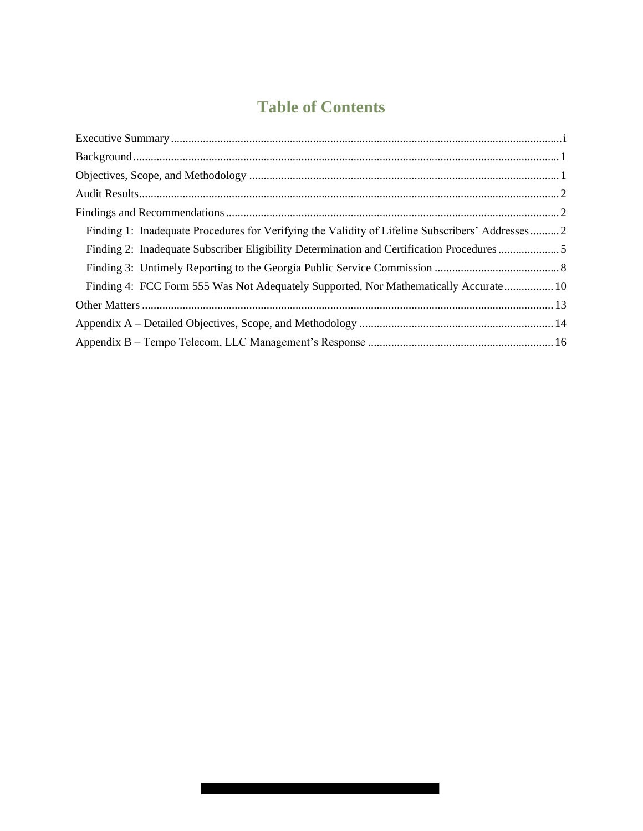# **Table of Contents**

| Finding 1: Inadequate Procedures for Verifying the Validity of Lifeline Subscribers' Addresses 2 |  |
|--------------------------------------------------------------------------------------------------|--|
| Finding 2: Inadequate Subscriber Eligibility Determination and Certification Procedures 5        |  |
|                                                                                                  |  |
| Finding 4: FCC Form 555 Was Not Adequately Supported, Nor Mathematically Accurate 10             |  |
|                                                                                                  |  |
|                                                                                                  |  |
|                                                                                                  |  |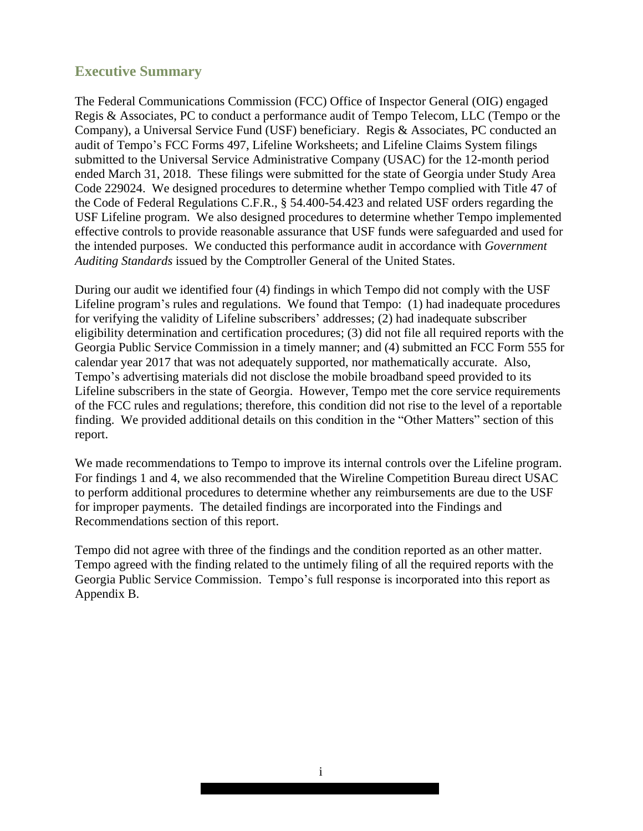# **Executive Summary**

The Federal Communications Commission (FCC) Office of Inspector General (OIG) engaged Regis & Associates, PC to conduct a performance audit of Tempo Telecom, LLC (Tempo or the Company), a Universal Service Fund (USF) beneficiary. Regis & Associates, PC conducted an audit of Tempo's FCC Forms 497, Lifeline Worksheets; and Lifeline Claims System filings submitted to the Universal Service Administrative Company (USAC) for the 12-month period ended March 31, 2018. These filings were submitted for the state of Georgia under Study Area Code 229024. We designed procedures to determine whether Tempo complied with Title 47 of the Code of Federal Regulations C.F.R., § 54.400-54.423 and related USF orders regarding the USF Lifeline program. We also designed procedures to determine whether Tempo implemented effective controls to provide reasonable assurance that USF funds were safeguarded and used for the intended purposes. We conducted this performance audit in accordance with *Government Auditing Standards* issued by the Comptroller General of the United States.

During our audit we identified four (4) findings in which Tempo did not comply with the USF Lifeline program's rules and regulations. We found that Tempo: (1) had inadequate procedures for verifying the validity of Lifeline subscribers' addresses; (2) had inadequate subscriber eligibility determination and certification procedures; (3) did not file all required reports with the Georgia Public Service Commission in a timely manner; and (4) submitted an FCC Form 555 for calendar year 2017 that was not adequately supported, nor mathematically accurate. Also, Tempo's advertising materials did not disclose the mobile broadband speed provided to its Lifeline subscribers in the state of Georgia. However, Tempo met the core service requirements of the FCC rules and regulations; therefore, this condition did not rise to the level of a reportable finding. We provided additional details on this condition in the "Other Matters" section of this report.

We made recommendations to Tempo to improve its internal controls over the Lifeline program. For findings 1 and 4, we also recommended that the Wireline Competition Bureau direct USAC to perform additional procedures to determine whether any reimbursements are due to the USF for improper payments. The detailed findings are incorporated into the Findings and Recommendations section of this report.

Tempo did not agree with three of the findings and the condition reported as an other matter. Tempo agreed with the finding related to the untimely filing of all the required reports with the Georgia Public Service Commission. Tempo's full response is incorporated into this report as Appendix B.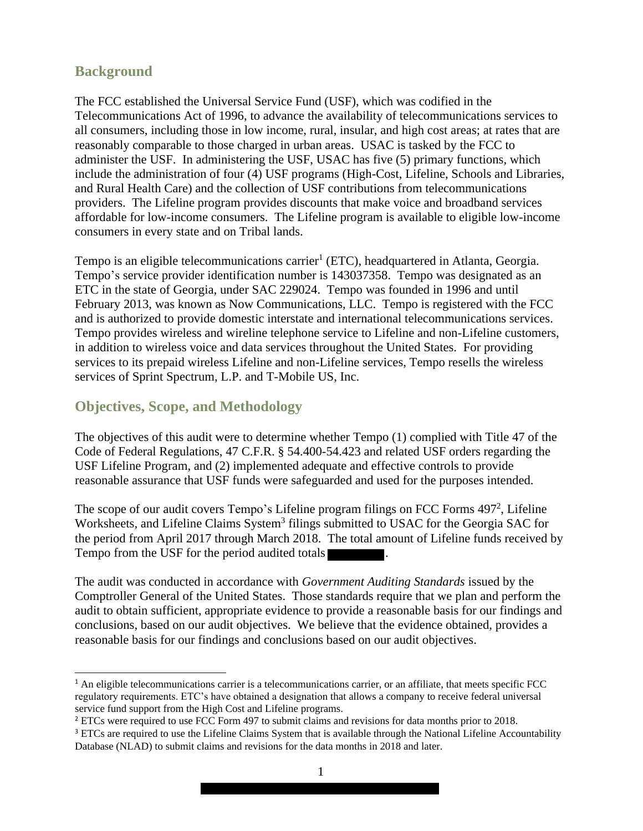## **Background**

The FCC established the Universal Service Fund (USF), which was codified in the Telecommunications Act of 1996, to advance the availability of telecommunications services to all consumers, including those in low income, rural, insular, and high cost areas; at rates that are reasonably comparable to those charged in urban areas. USAC is tasked by the FCC to administer the USF. In administering the USF, USAC has five (5) primary functions, which include the administration of four (4) USF programs (High-Cost, Lifeline, Schools and Libraries, and Rural Health Care) and the collection of USF contributions from telecommunications providers. The Lifeline program provides discounts that make voice and broadband services affordable for low-income consumers. The Lifeline program is available to eligible low-income consumers in every state and on Tribal lands.

Tempo is an eligible telecommunications carrier<sup>1</sup> (ETC), headquartered in Atlanta, Georgia. Tempo's service provider identification number is 143037358. Tempo was designated as an ETC in the state of Georgia, under SAC 229024. Tempo was founded in 1996 and until February 2013, was known as Now Communications, LLC. Tempo is registered with the FCC and is authorized to provide domestic interstate and international telecommunications services. Tempo provides wireless and wireline telephone service to Lifeline and non-Lifeline customers, in addition to wireless voice and data services throughout the United States. For providing services to its prepaid wireless Lifeline and non-Lifeline services, Tempo resells the wireless services of Sprint Spectrum, L.P. and T-Mobile US, Inc.

## **Objectives, Scope, and Methodology**

The objectives of this audit were to determine whether Tempo (1) complied with Title 47 of the Code of Federal Regulations, 47 C.F.R. § 54.400-54.423 and related USF orders regarding the USF Lifeline Program, and (2) implemented adequate and effective controls to provide reasonable assurance that USF funds were safeguarded and used for the purposes intended.

The scope of our audit covers Tempo's Lifeline program filings on FCC Forms 497<sup>2</sup>, Lifeline Worksheets, and Lifeline Claims System<sup>3</sup> filings submitted to USAC for the Georgia SAC for the period from April 2017 through March 2018. The total amount of Lifeline funds received by Tempo from the USF for the period audited totals

The audit was conducted in accordance with *Government Auditing Standards* issued by the Comptroller General of the United States. Those standards require that we plan and perform the audit to obtain sufficient, appropriate evidence to provide a reasonable basis for our findings and conclusions, based on our audit objectives. We believe that the evidence obtained, provides a reasonable basis for our findings and conclusions based on our audit objectives.

<sup>&</sup>lt;sup>1</sup> An eligible telecommunications carrier is a telecommunications carrier, or an affiliate, that meets specific FCC regulatory requirements. ETC's have obtained a designation that allows a company to receive federal universal service fund support from the High Cost and Lifeline programs.

<sup>2</sup> ETCs were required to use FCC Form 497 to submit claims and revisions for data months prior to 2018.

<sup>&</sup>lt;sup>3</sup> ETCs are required to use the Lifeline Claims System that is available through the National Lifeline Accountability Database (NLAD) to submit claims and revisions for the data months in 2018 and later.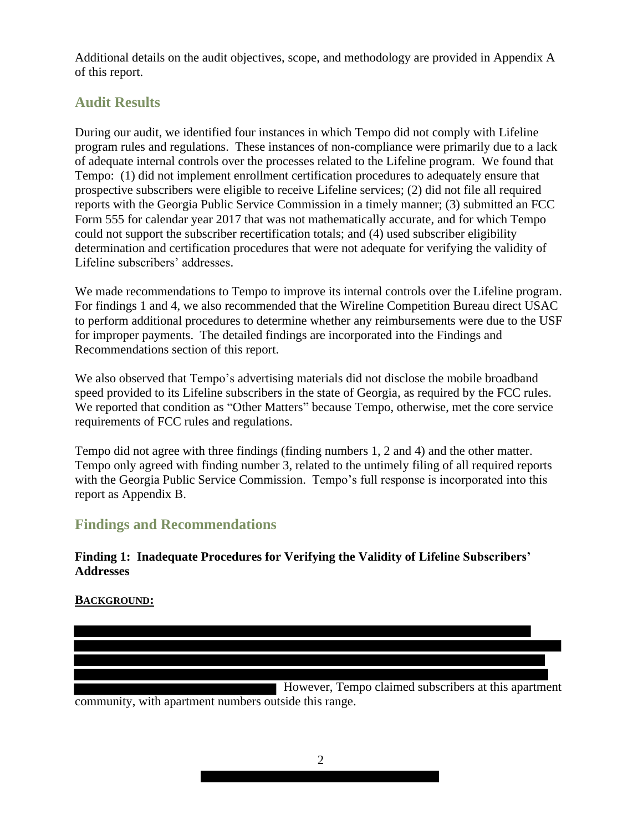Additional details on the audit objectives, scope, and methodology are provided in Appendix A of this report.

# **Audit Results**

During our audit, we identified four instances in which Tempo did not comply with Lifeline program rules and regulations. These instances of non-compliance were primarily due to a lack of adequate internal controls over the processes related to the Lifeline program. We found that Tempo: (1) did not implement enrollment certification procedures to adequately ensure that prospective subscribers were eligible to receive Lifeline services; (2) did not file all required reports with the Georgia Public Service Commission in a timely manner; (3) submitted an FCC Form 555 for calendar year 2017 that was not mathematically accurate, and for which Tempo could not support the subscriber recertification totals; and (4) used subscriber eligibility determination and certification procedures that were not adequate for verifying the validity of Lifeline subscribers' addresses.

We made recommendations to Tempo to improve its internal controls over the Lifeline program. For findings 1 and 4, we also recommended that the Wireline Competition Bureau direct USAC to perform additional procedures to determine whether any reimbursements were due to the USF for improper payments. The detailed findings are incorporated into the Findings and Recommendations section of this report.

We also observed that Tempo's advertising materials did not disclose the mobile broadband speed provided to its Lifeline subscribers in the state of Georgia, as required by the FCC rules. We reported that condition as "Other Matters" because Tempo, otherwise, met the core service requirements of FCC rules and regulations.

Tempo did not agree with three findings (finding numbers 1, 2 and 4) and the other matter. Tempo only agreed with finding number 3, related to the untimely filing of all required reports with the Georgia Public Service Commission. Tempo's full response is incorporated into this report as Appendix B.

# **Findings and Recommendations**

## **Finding 1: Inadequate Procedures for Verifying the Validity of Lifeline Subscribers' Addresses**

## **BACKGROUND:**

 However, Tempo claimed subscribers at this apartment community, with apartment numbers outside this range.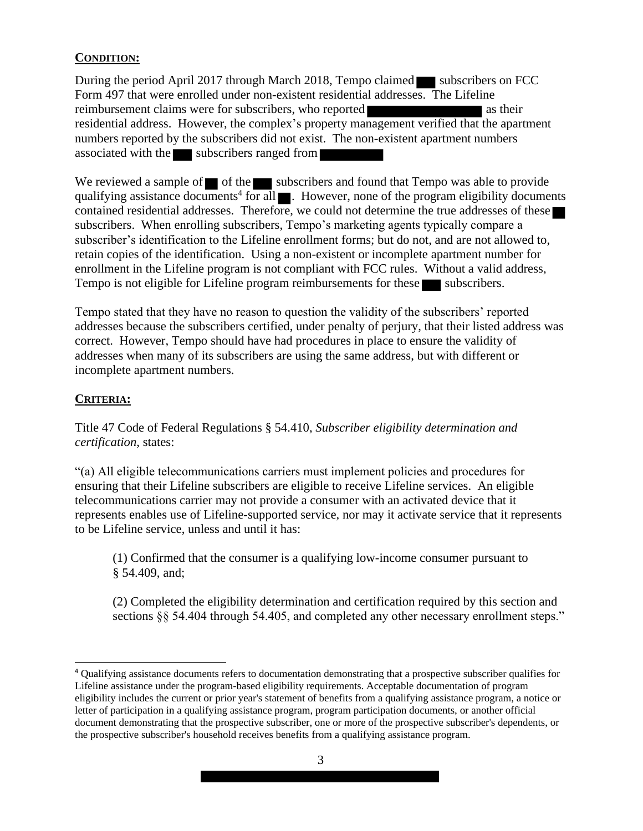## **CONDITION:**

During the period April 2017 through March 2018, Tempo claimed subscribers on FCC Form 497 that were enrolled under non-existent residential addresses. The Lifeline reimbursement claims were for subscribers, who reported as their residential address. However, the complex's property management verified that the apartment numbers reported by the subscribers did not exist. The non-existent apartment numbers associated with the subscribers ranged from

We reviewed a sample of  $\blacksquare$  of the subscribers and found that Tempo was able to provide qualifying assistance documents<sup>4</sup> for all  $\blacksquare$ . However, none of the program eligibility documents contained residential addresses. Therefore, we could not determine the true addresses of these subscribers. When enrolling subscribers, Tempo's marketing agents typically compare a subscriber's identification to the Lifeline enrollment forms; but do not, and are not allowed to, retain copies of the identification. Using a non-existent or incomplete apartment number for enrollment in the Lifeline program is not compliant with FCC rules. Without a valid address, Tempo is not eligible for Lifeline program reimbursements for these subscribers.

Tempo stated that they have no reason to question the validity of the subscribers' reported addresses because the subscribers certified, under penalty of perjury, that their listed address was correct. However, Tempo should have had procedures in place to ensure the validity of addresses when many of its subscribers are using the same address, but with different or incomplete apartment numbers.

## **CRITERIA:**

Title 47 Code of Federal Regulations § 54.410, *Subscriber eligibility determination and certification*, states:

"(a) All eligible telecommunications carriers must implement policies and procedures for ensuring that their Lifeline subscribers are eligible to receive Lifeline services. An eligible telecommunications carrier may not provide a consumer with an activated device that it represents enables use of Lifeline-supported service, nor may it activate service that it represents to be Lifeline service, unless and until it has:

 (1) Confirmed that the consumer is a qualifying low-income consumer pursuant to § 54.409, and;

 (2) Completed the eligibility determination and certification required by this section and sections §§ 54.404 through 54.405, and completed any other necessary enrollment steps."

<sup>4</sup> Qualifying assistance documents refers to documentation demonstrating that a prospective subscriber qualifies for Lifeline assistance under the program-based eligibility requirements. Acceptable documentation of program eligibility includes the current or prior year's statement of benefits from a qualifying assistance program, a notice or letter of participation in a qualifying assistance program, program participation documents, or another official document demonstrating that the prospective subscriber, one or more of the prospective subscriber's dependents, or the prospective subscriber's household receives benefits from a qualifying assistance program.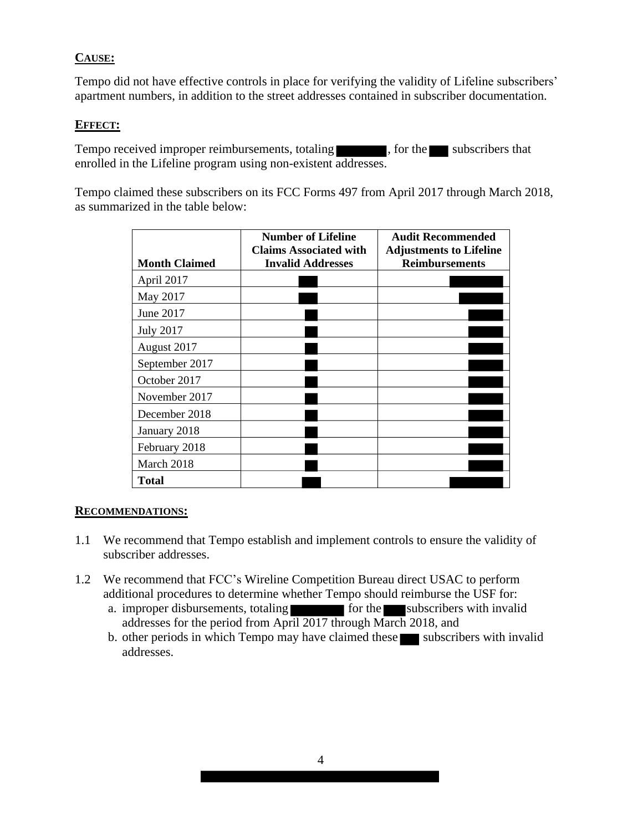## **CAUSE:**

Tempo did not have effective controls in place for verifying the validity of Lifeline subscribers' apartment numbers, in addition to the street addresses contained in subscriber documentation.

#### **EFFECT:**

Tempo received improper reimbursements, totaling , for the subscribers that enrolled in the Lifeline program using non-existent addresses.

Tempo claimed these subscribers on its FCC Forms 497 from April 2017 through March 2018, as summarized in the table below:

|                      | <b>Number of Lifeline</b><br><b>Claims Associated with</b> | <b>Audit Recommended</b><br><b>Adjustments to Lifeline</b> |
|----------------------|------------------------------------------------------------|------------------------------------------------------------|
| <b>Month Claimed</b> | <b>Invalid Addresses</b>                                   | <b>Reimbursements</b>                                      |
| April 2017           |                                                            |                                                            |
| May 2017             |                                                            |                                                            |
| June 2017            |                                                            |                                                            |
| <b>July 2017</b>     |                                                            |                                                            |
| August 2017          |                                                            |                                                            |
| September 2017       |                                                            |                                                            |
| October 2017         |                                                            |                                                            |
| November 2017        |                                                            |                                                            |
| December 2018        |                                                            |                                                            |
| January 2018         |                                                            |                                                            |
| February 2018        |                                                            |                                                            |
| March 2018           |                                                            |                                                            |
| <b>Total</b>         |                                                            |                                                            |

#### **RECOMMENDATIONS:**

- 1.1 We recommend that Tempo establish and implement controls to ensure the validity of subscriber addresses.
- 1.2 We recommend that FCC's Wireline Competition Bureau direct USAC to perform additional procedures to determine whether Tempo should reimburse the USF for:
	- a. improper disbursements, totaling  $\overline{\phantom{a}}$  for the subscribers with invalid addresses for the period from April 2017 through March 2018, and
	- b. other periods in which Tempo may have claimed these subscribers with invalid addresses.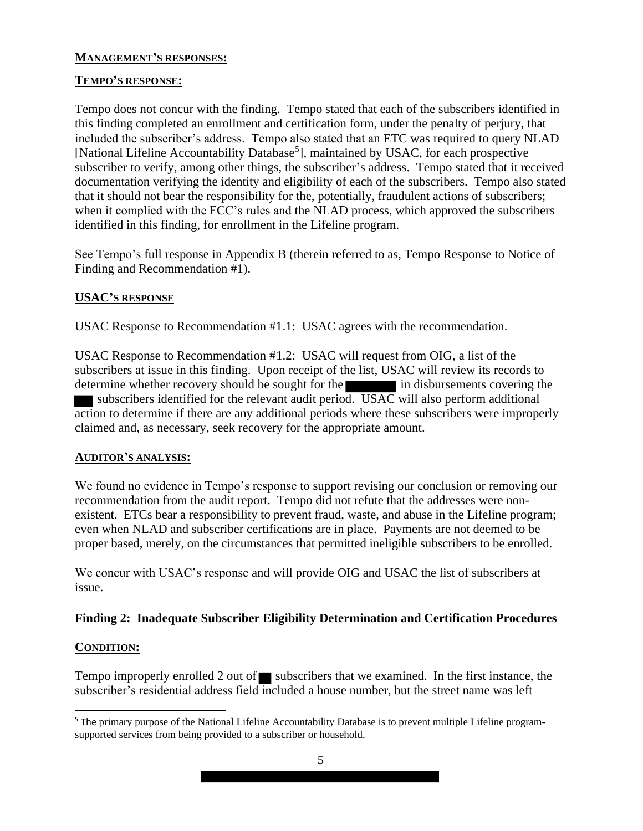#### **MANAGEMENT'S RESPONSES:**

#### **TEMPO'S RESPONSE:**

Tempo does not concur with the finding. Tempo stated that each of the subscribers identified in this finding completed an enrollment and certification form, under the penalty of perjury, that included the subscriber's address. Tempo also stated that an ETC was required to query NLAD [National Lifeline Accountability Database<sup>5</sup>], maintained by USAC, for each prospective subscriber to verify, among other things, the subscriber's address. Tempo stated that it received documentation verifying the identity and eligibility of each of the subscribers. Tempo also stated that it should not bear the responsibility for the, potentially, fraudulent actions of subscribers; when it complied with the FCC's rules and the NLAD process, which approved the subscribers identified in this finding, for enrollment in the Lifeline program.

See Tempo's full response in Appendix B (therein referred to as, Tempo Response to Notice of Finding and Recommendation #1).

#### **USAC'S RESPONSE**

USAC Response to Recommendation #1.1: USAC agrees with the recommendation.

USAC Response to Recommendation #1.2: USAC will request from OIG, a list of the subscribers at issue in this finding. Upon receipt of the list, USAC will review its records to determine whether recovery should be sought for the in disbursements covering the subscribers identified for the relevant audit period. USAC will also perform additional action to determine if there are any additional periods where these subscribers were improperly claimed and, as necessary, seek recovery for the appropriate amount.

#### **AUDITOR'S ANALYSIS:**

We found no evidence in Tempo's response to support revising our conclusion or removing our recommendation from the audit report. Tempo did not refute that the addresses were nonexistent. ETCs bear a responsibility to prevent fraud, waste, and abuse in the Lifeline program; even when NLAD and subscriber certifications are in place. Payments are not deemed to be proper based, merely, on the circumstances that permitted ineligible subscribers to be enrolled.

We concur with USAC's response and will provide OIG and USAC the list of subscribers at issue.

## **Finding 2: Inadequate Subscriber Eligibility Determination and Certification Procedures**

#### **CONDITION:**

Tempo improperly enrolled 2 out of subscribers that we examined. In the first instance, the subscriber's residential address field included a house number, but the street name was left

<sup>&</sup>lt;sup>5</sup> The primary purpose of the National Lifeline Accountability Database is to prevent multiple Lifeline programsupported services from being provided to a subscriber or household.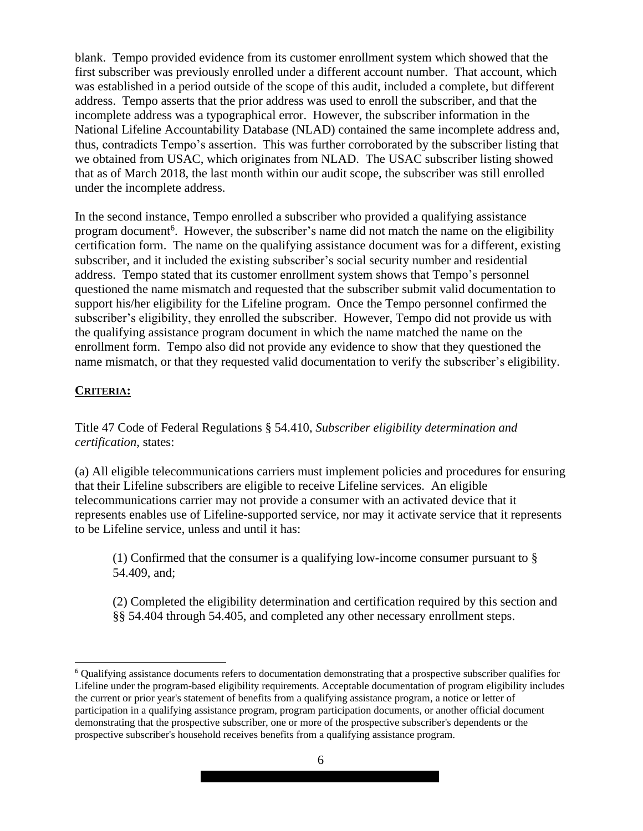blank. Tempo provided evidence from its customer enrollment system which showed that the first subscriber was previously enrolled under a different account number. That account, which was established in a period outside of the scope of this audit, included a complete, but different address. Tempo asserts that the prior address was used to enroll the subscriber, and that the incomplete address was a typographical error. However, the subscriber information in the National Lifeline Accountability Database (NLAD) contained the same incomplete address and, thus, contradicts Tempo's assertion. This was further corroborated by the subscriber listing that we obtained from USAC, which originates from NLAD. The USAC subscriber listing showed that as of March 2018, the last month within our audit scope, the subscriber was still enrolled under the incomplete address.

In the second instance, Tempo enrolled a subscriber who provided a qualifying assistance program document<sup>6</sup>. However, the subscriber's name did not match the name on the eligibility certification form. The name on the qualifying assistance document was for a different, existing subscriber, and it included the existing subscriber's social security number and residential address. Tempo stated that its customer enrollment system shows that Tempo's personnel questioned the name mismatch and requested that the subscriber submit valid documentation to support his/her eligibility for the Lifeline program. Once the Tempo personnel confirmed the subscriber's eligibility, they enrolled the subscriber. However, Tempo did not provide us with the qualifying assistance program document in which the name matched the name on the enrollment form. Tempo also did not provide any evidence to show that they questioned the name mismatch, or that they requested valid documentation to verify the subscriber's eligibility.

#### **CRITERIA:**

Title 47 Code of Federal Regulations § 54.410, *Subscriber eligibility determination and certification*, states:

(a) All eligible telecommunications carriers must implement policies and procedures for ensuring that their Lifeline subscribers are eligible to receive Lifeline services. An eligible telecommunications carrier may not provide a consumer with an activated device that it represents enables use of Lifeline-supported service, nor may it activate service that it represents to be Lifeline service, unless and until it has:

 (1) Confirmed that the consumer is a qualifying low-income consumer pursuant to § 54.409, and;

 (2) Completed the eligibility determination and certification required by this section and §§ 54.404 through 54.405, and completed any other necessary enrollment steps.

<sup>6</sup> Qualifying assistance documents refers to documentation demonstrating that a prospective subscriber qualifies for Lifeline under the program-based eligibility requirements. Acceptable documentation of program eligibility includes the current or prior year's statement of benefits from a qualifying assistance program, a notice or letter of participation in a qualifying assistance program, program participation documents, or another official document demonstrating that the prospective subscriber, one or more of the prospective subscriber's dependents or the prospective subscriber's household receives benefits from a qualifying assistance program.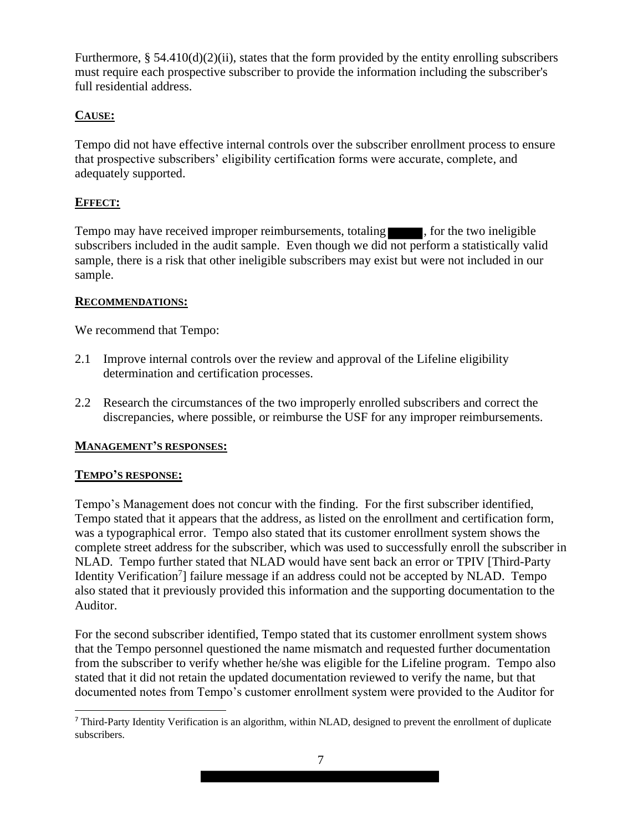Furthermore,  $\S$  54.410(d)(2)(ii), states that the form provided by the entity enrolling subscribers must require each prospective subscriber to provide the information including the subscriber's full residential address.

## **CAUSE:**

Tempo did not have effective internal controls over the subscriber enrollment process to ensure that prospective subscribers' eligibility certification forms were accurate, complete, and adequately supported.

## **EFFECT:**

Tempo may have received improper reimbursements, totaling , for the two ineligible subscribers included in the audit sample. Even though we did not perform a statistically valid sample, there is a risk that other ineligible subscribers may exist but were not included in our sample.

#### **RECOMMENDATIONS:**

We recommend that Tempo:

- 2.1 Improve internal controls over the review and approval of the Lifeline eligibility determination and certification processes.
- 2.2 Research the circumstances of the two improperly enrolled subscribers and correct the discrepancies, where possible, or reimburse the USF for any improper reimbursements.

## **MANAGEMENT'S RESPONSES:**

#### **TEMPO'S RESPONSE:**

Tempo's Management does not concur with the finding. For the first subscriber identified, Tempo stated that it appears that the address, as listed on the enrollment and certification form, was a typographical error. Tempo also stated that its customer enrollment system shows the complete street address for the subscriber, which was used to successfully enroll the subscriber in NLAD. Tempo further stated that NLAD would have sent back an error or TPIV [Third-Party Identity Verification<sup>7</sup>] failure message if an address could not be accepted by NLAD. Tempo also stated that it previously provided this information and the supporting documentation to the Auditor.

For the second subscriber identified, Tempo stated that its customer enrollment system shows that the Tempo personnel questioned the name mismatch and requested further documentation from the subscriber to verify whether he/she was eligible for the Lifeline program. Tempo also stated that it did not retain the updated documentation reviewed to verify the name, but that documented notes from Tempo's customer enrollment system were provided to the Auditor for

<sup>&</sup>lt;sup>7</sup> Third-Party Identity Verification is an algorithm, within NLAD, designed to prevent the enrollment of duplicate subscribers.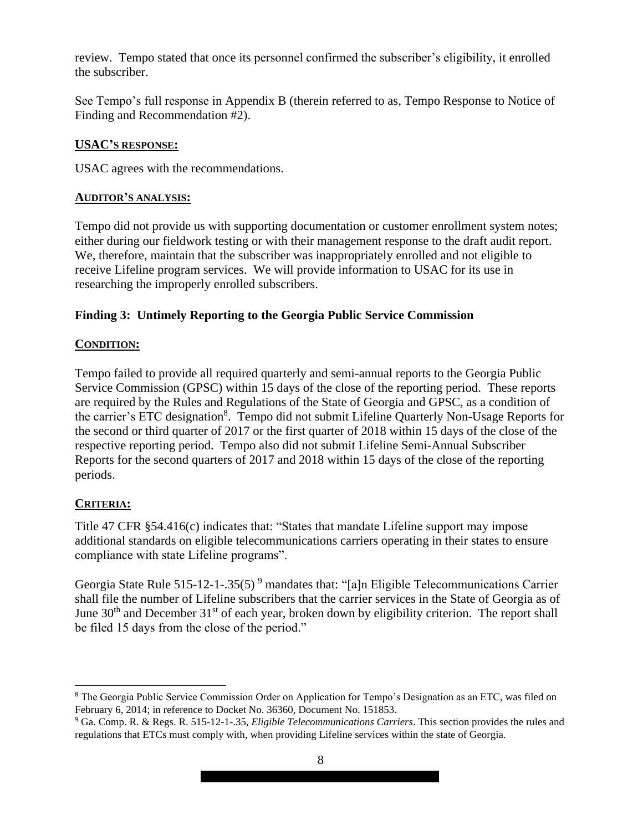review. Tempo stated that once its personnel confirmed the subscriber's eligibility, it enrolled the subscriber.

See Tempo's full response in Appendix B (therein referred to as, Tempo Response to Notice of Finding and Recommendation #2).

#### **USAC'S RESPONSE:**

USAC agrees with the recommendations.

#### **AUDITOR'S ANALYSIS:**

Tempo did not provide us with supporting documentation or customer enrollment system notes; either during our fieldwork testing or with their management response to the draft audit report. We, therefore, maintain that the subscriber was inappropriately enrolled and not eligible to receive Lifeline program services. We will provide information to USAC for its use in researching the improperly enrolled subscribers.

#### **Finding 3: Untimely Reporting to the Georgia Public Service Commission**

#### **CONDITION:**

Tempo failed to provide all required quarterly and semi-annual reports to the Georgia Public Service Commission (GPSC) within 15 days of the close of the reporting period. These reports are required by the Rules and Regulations of the State of Georgia and GPSC, as a condition of the carrier's ETC designation<sup>8</sup>. Tempo did not submit Lifeline Quarterly Non-Usage Reports for the second or third quarter of 2017 or the first quarter of 2018 within 15 days of the close of the respective reporting period. Tempo also did not submit Lifeline Semi-Annual Subscriber Reports for the second quarters of 2017 and 2018 within 15 days of the close of the reporting periods.

#### **CRITERIA:**

Title 47 CFR §54.416(c) indicates that: "States that mandate Lifeline support may impose additional standards on eligible telecommunications carriers operating in their states to ensure compliance with state Lifeline programs".

Georgia State Rule 515-12-1-.35(5)<sup>9</sup> mandates that: "[a]n Eligible Telecommunications Carrier shall file the number of Lifeline subscribers that the carrier services in the State of Georgia as of June  $30<sup>th</sup>$  and December  $31<sup>st</sup>$  of each year, broken down by eligibility criterion. The report shall be filed 15 days from the close of the period."

<sup>8</sup> The Georgia Public Service Commission Order on Application for Tempo's Designation as an ETC, was filed on February 6, 2014; in reference to Docket No. 36360, Document No. 151853.

<sup>9</sup> Ga. Comp. R. & Regs. R. 515-12-1-.35, *Eligible Telecommunications Carriers*. This section provides the rules and regulations that ETCs must comply with, when providing Lifeline services within the state of Georgia.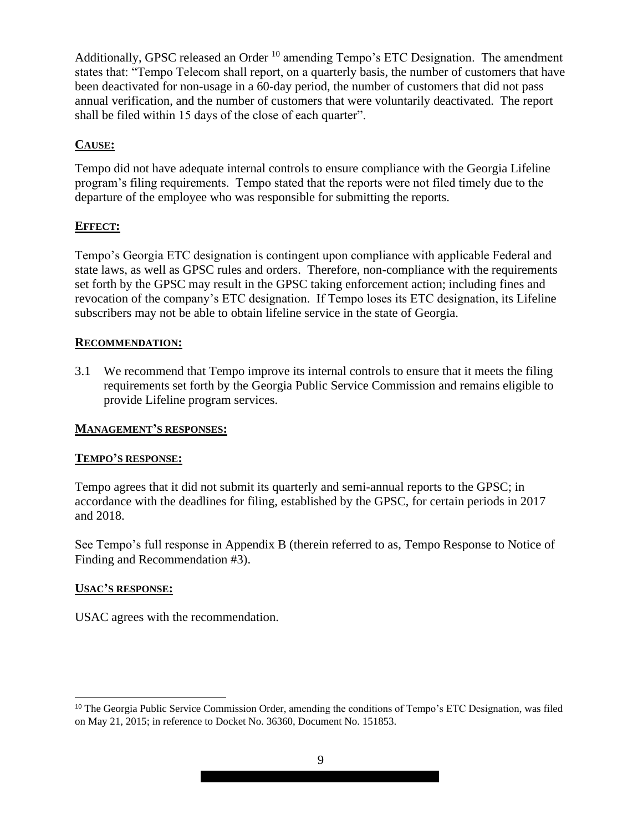Additionally, GPSC released an Order  $10$  amending Tempo's ETC Designation. The amendment states that: "Tempo Telecom shall report, on a quarterly basis, the number of customers that have been deactivated for non-usage in a 60-day period, the number of customers that did not pass annual verification, and the number of customers that were voluntarily deactivated. The report shall be filed within 15 days of the close of each quarter".

#### **CAUSE:**

Tempo did not have adequate internal controls to ensure compliance with the Georgia Lifeline program's filing requirements. Tempo stated that the reports were not filed timely due to the departure of the employee who was responsible for submitting the reports.

#### **EFFECT:**

Tempo's Georgia ETC designation is contingent upon compliance with applicable Federal and state laws, as well as GPSC rules and orders. Therefore, non-compliance with the requirements set forth by the GPSC may result in the GPSC taking enforcement action; including fines and revocation of the company's ETC designation. If Tempo loses its ETC designation, its Lifeline subscribers may not be able to obtain lifeline service in the state of Georgia.

#### **RECOMMENDATION:**

3.1 We recommend that Tempo improve its internal controls to ensure that it meets the filing requirements set forth by the Georgia Public Service Commission and remains eligible to provide Lifeline program services.

#### **MANAGEMENT'S RESPONSES:**

#### **TEMPO'S RESPONSE:**

Tempo agrees that it did not submit its quarterly and semi-annual reports to the GPSC; in accordance with the deadlines for filing, established by the GPSC, for certain periods in 2017 and 2018.

See Tempo's full response in Appendix B (therein referred to as, Tempo Response to Notice of Finding and Recommendation #3).

#### **USAC'S RESPONSE:**

USAC agrees with the recommendation.

<sup>&</sup>lt;sup>10</sup> The Georgia Public Service Commission Order, amending the conditions of Tempo's ETC Designation, was filed on May 21, 2015; in reference to Docket No. 36360, Document No. 151853.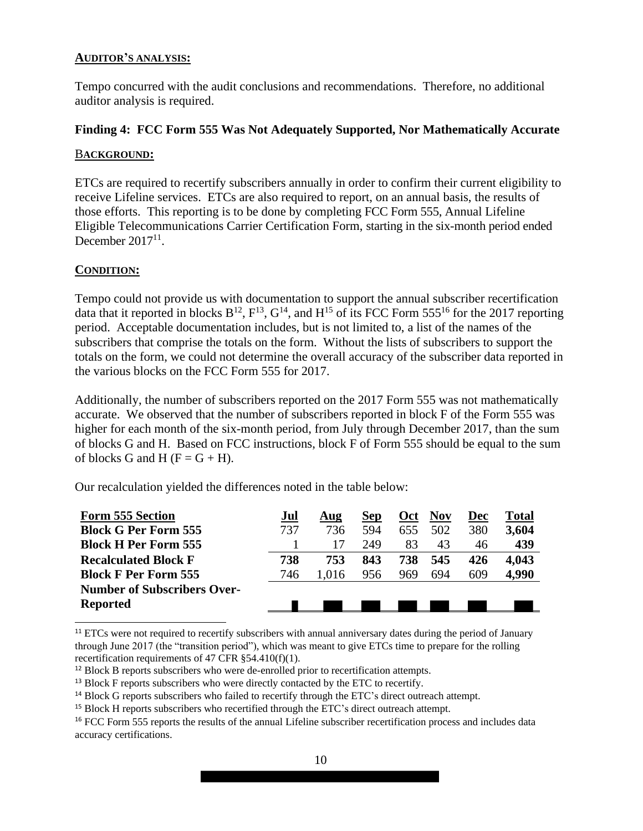#### **AUDITOR'S ANALYSIS:**

Tempo concurred with the audit conclusions and recommendations. Therefore, no additional auditor analysis is required.

#### **Finding 4: FCC Form 555 Was Not Adequately Supported, Nor Mathematically Accurate**

#### B**ACKGROUND:**

ETCs are required to recertify subscribers annually in order to confirm their current eligibility to receive Lifeline services. ETCs are also required to report, on an annual basis, the results of those efforts. This reporting is to be done by completing FCC Form 555, Annual Lifeline Eligible Telecommunications Carrier Certification Form, starting in the six-month period ended December  $2017<sup>11</sup>$ .

#### **CONDITION:**

Tempo could not provide us with documentation to support the annual subscriber recertification data that it reported in blocks  $B^{12}$ ,  $F^{13}$ ,  $G^{14}$ , and  $H^{15}$  of its FCC Form 555<sup>16</sup> for the 2017 reporting period. Acceptable documentation includes, but is not limited to, a list of the names of the subscribers that comprise the totals on the form. Without the lists of subscribers to support the totals on the form, we could not determine the overall accuracy of the subscriber data reported in the various blocks on the FCC Form 555 for 2017.

Additionally, the number of subscribers reported on the 2017 Form 555 was not mathematically accurate. We observed that the number of subscribers reported in block F of the Form 555 was higher for each month of the six-month period, from July through December 2017, than the sum of blocks G and H. Based on FCC instructions, block F of Form 555 should be equal to the sum of blocks G and H ( $F = G + H$ ).

Our recalculation yielded the differences noted in the table below:

| <b>Form 555 Section</b>            | Jul | Aug   | <b>Sep</b> | Oct | <b>Nov</b> | Dec | Total |
|------------------------------------|-----|-------|------------|-----|------------|-----|-------|
| <b>Block G Per Form 555</b>        | 737 | 736   | 594        | 655 | 502        | 380 | 3,604 |
| <b>Block H Per Form 555</b>        |     | 17    | 249        | 83  | 43         | 46  | 439   |
| <b>Recalculated Block F</b>        | 738 | 753   | 843        | 738 | 545        | 426 | 4,043 |
| <b>Block F Per Form 555</b>        | 746 | 1.016 | 956        | 969 | 694        | 609 | 4.990 |
| <b>Number of Subscribers Over-</b> |     |       |            |     |            |     |       |
| <b>Reported</b>                    |     |       |            |     |            |     |       |

<sup>11</sup> ETCs were not required to recertify subscribers with annual anniversary dates during the period of January through June 2017 (the "transition period"), which was meant to give ETCs time to prepare for the rolling recertification requirements of 47 CFR §54.410(f)(1).

<sup>&</sup>lt;sup>12</sup> Block B reports subscribers who were de-enrolled prior to recertification attempts.

<sup>&</sup>lt;sup>13</sup> Block F reports subscribers who were directly contacted by the ETC to recertify.

<sup>&</sup>lt;sup>14</sup> Block G reports subscribers who failed to recertify through the ETC's direct outreach attempt.

<sup>&</sup>lt;sup>15</sup> Block H reports subscribers who recertified through the ETC's direct outreach attempt.

<sup>&</sup>lt;sup>16</sup> FCC Form 555 reports the results of the annual Lifeline subscriber recertification process and includes data accuracy certifications.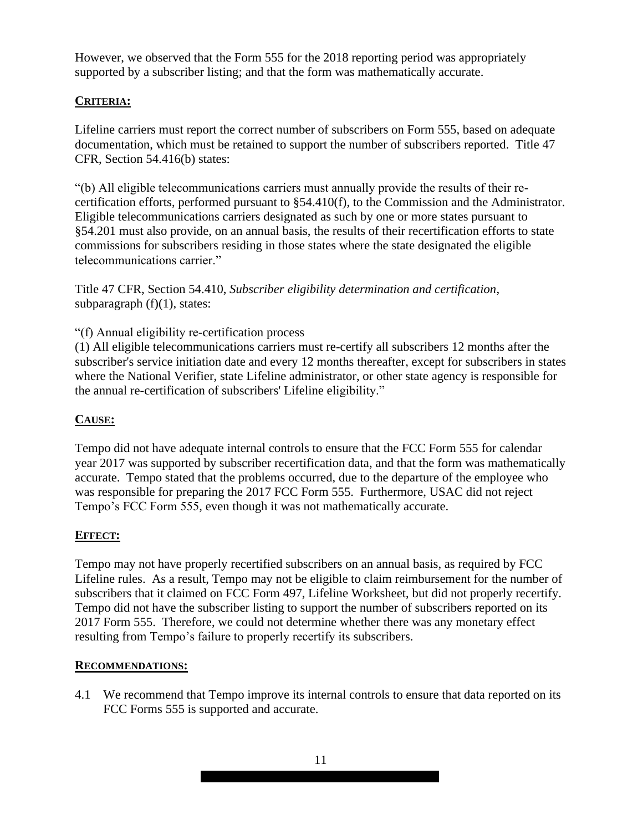However, we observed that the Form 555 for the 2018 reporting period was appropriately supported by a subscriber listing; and that the form was mathematically accurate.

## **CRITERIA:**

Lifeline carriers must report the correct number of subscribers on Form 555, based on adequate documentation, which must be retained to support the number of subscribers reported. Title 47 CFR, Section 54.416(b) states:

"(b) All eligible telecommunications carriers must annually provide the results of their recertification efforts, performed pursuant to §54.410(f), to the Commission and the Administrator. Eligible telecommunications carriers designated as such by one or more states pursuant to §54.201 must also provide, on an annual basis, the results of their recertification efforts to state commissions for subscribers residing in those states where the state designated the eligible telecommunications carrier."

Title 47 CFR, Section 54.410, *Subscriber eligibility determination and certification*, subparagraph  $(f)(1)$ , states:

#### "(f) Annual eligibility re-certification process

(1) All eligible telecommunications carriers must re-certify all subscribers 12 months after the subscriber's service initiation date and every 12 months thereafter, except for subscribers in states where the National Verifier, state Lifeline administrator, or other state agency is responsible for the annual re-certification of subscribers' Lifeline eligibility."

## **CAUSE:**

Tempo did not have adequate internal controls to ensure that the FCC Form 555 for calendar year 2017 was supported by subscriber recertification data, and that the form was mathematically accurate. Tempo stated that the problems occurred, due to the departure of the employee who was responsible for preparing the 2017 FCC Form 555. Furthermore, USAC did not reject Tempo's FCC Form 555, even though it was not mathematically accurate.

#### **EFFECT:**

Tempo may not have properly recertified subscribers on an annual basis, as required by FCC Lifeline rules. As a result, Tempo may not be eligible to claim reimbursement for the number of subscribers that it claimed on FCC Form 497, Lifeline Worksheet, but did not properly recertify. Tempo did not have the subscriber listing to support the number of subscribers reported on its 2017 Form 555. Therefore, we could not determine whether there was any monetary effect resulting from Tempo's failure to properly recertify its subscribers.

#### **RECOMMENDATIONS:**

4.1 We recommend that Tempo improve its internal controls to ensure that data reported on its FCC Forms 555 is supported and accurate.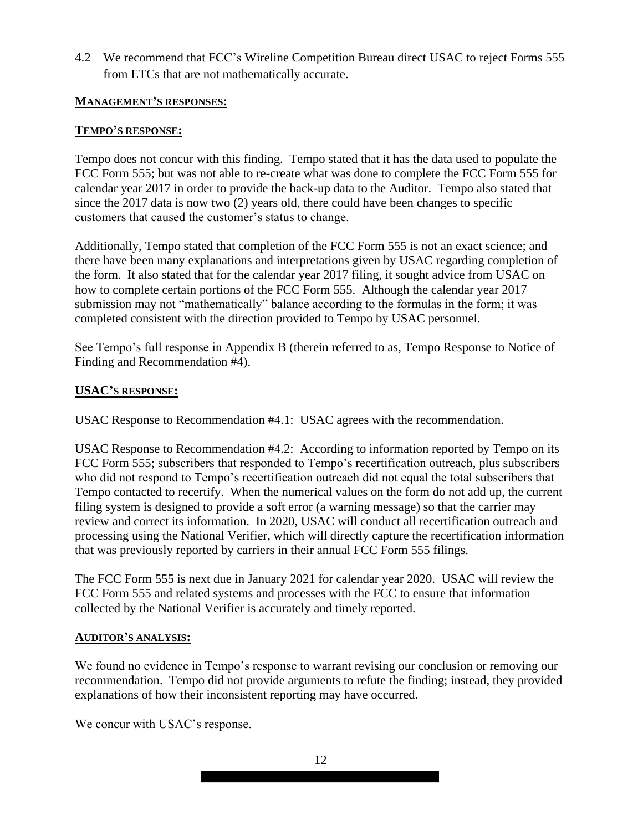4.2 We recommend that FCC's Wireline Competition Bureau direct USAC to reject Forms 555 from ETCs that are not mathematically accurate.

#### **MANAGEMENT'S RESPONSES:**

#### **TEMPO'S RESPONSE:**

Tempo does not concur with this finding. Tempo stated that it has the data used to populate the FCC Form 555; but was not able to re-create what was done to complete the FCC Form 555 for calendar year 2017 in order to provide the back-up data to the Auditor. Tempo also stated that since the 2017 data is now two (2) years old, there could have been changes to specific customers that caused the customer's status to change.

Additionally, Tempo stated that completion of the FCC Form 555 is not an exact science; and there have been many explanations and interpretations given by USAC regarding completion of the form. It also stated that for the calendar year 2017 filing, it sought advice from USAC on how to complete certain portions of the FCC Form 555. Although the calendar year 2017 submission may not "mathematically" balance according to the formulas in the form; it was completed consistent with the direction provided to Tempo by USAC personnel.

See Tempo's full response in Appendix B (therein referred to as, Tempo Response to Notice of Finding and Recommendation #4).

#### **USAC'S RESPONSE:**

USAC Response to Recommendation #4.1: USAC agrees with the recommendation.

USAC Response to Recommendation #4.2: According to information reported by Tempo on its FCC Form 555; subscribers that responded to Tempo's recertification outreach, plus subscribers who did not respond to Tempo's recertification outreach did not equal the total subscribers that Tempo contacted to recertify. When the numerical values on the form do not add up, the current filing system is designed to provide a soft error (a warning message) so that the carrier may review and correct its information. In 2020, USAC will conduct all recertification outreach and processing using the National Verifier, which will directly capture the recertification information that was previously reported by carriers in their annual FCC Form 555 filings.

The FCC Form 555 is next due in January 2021 for calendar year 2020. USAC will review the FCC Form 555 and related systems and processes with the FCC to ensure that information collected by the National Verifier is accurately and timely reported.

#### **AUDITOR'S ANALYSIS:**

We found no evidence in Tempo's response to warrant revising our conclusion or removing our recommendation. Tempo did not provide arguments to refute the finding; instead, they provided explanations of how their inconsistent reporting may have occurred.

We concur with USAC's response.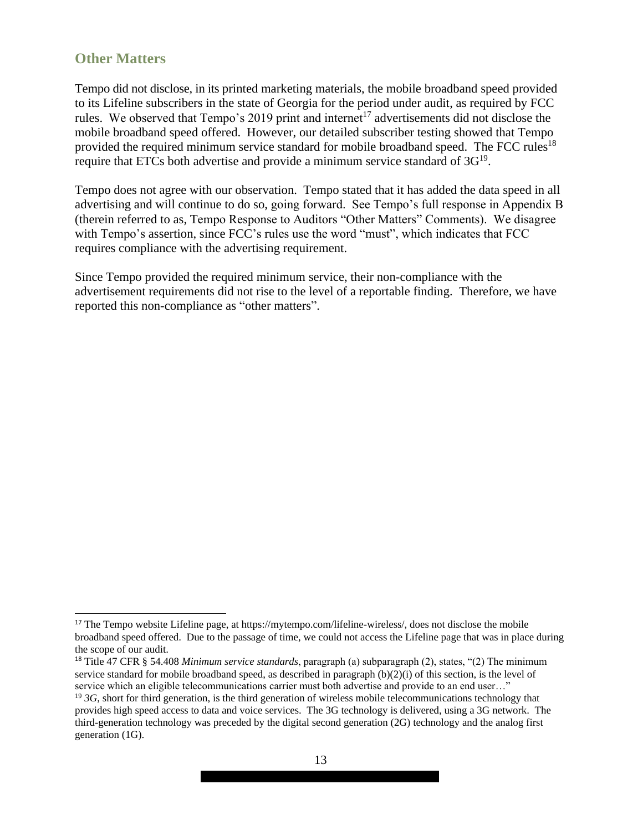## **Other Matters**

Tempo did not disclose, in its printed marketing materials, the mobile broadband speed provided to its Lifeline subscribers in the state of Georgia for the period under audit, as required by FCC rules. We observed that Tempo's 2019 print and internet<sup>17</sup> advertisements did not disclose the mobile broadband speed offered. However, our detailed subscriber testing showed that Tempo provided the required minimum service standard for mobile broadband speed. The FCC rules<sup>18</sup> require that ETCs both advertise and provide a minimum service standard of  $3G^{19}$ .

Tempo does not agree with our observation. Tempo stated that it has added the data speed in all advertising and will continue to do so, going forward. See Tempo's full response in Appendix B (therein referred to as, Tempo Response to Auditors "Other Matters" Comments). We disagree with Tempo's assertion, since FCC's rules use the word "must", which indicates that FCC requires compliance with the advertising requirement.

Since Tempo provided the required minimum service, their non-compliance with the advertisement requirements did not rise to the level of a reportable finding. Therefore, we have reported this non-compliance as "other matters".

<sup>&</sup>lt;sup>17</sup> The Tempo website Lifeline page, at https://mytempo.com/lifeline-wireless/, does not disclose the mobile broadband speed offered. Due to the passage of time, we could not access the Lifeline page that was in place during the scope of our audit.

<sup>18</sup> Title 47 CFR § 54.408 *Minimum service standards*, paragraph (a) subparagraph (2), states, "(2) The minimum service standard for mobile broadband speed, as described in paragraph (b)(2)(i) of this section, is the level of service which an eligible telecommunications carrier must both advertise and provide to an end user…"

<sup>&</sup>lt;sup>19</sup> *3G*, short for third generation, is the third generation of wireless mobile telecommunications technology that provides high speed access to data and voice services. The 3G technology is delivered, using a 3G network. The third-generation technology was preceded by the digital second generation (2G) technology and the analog first generation (1G).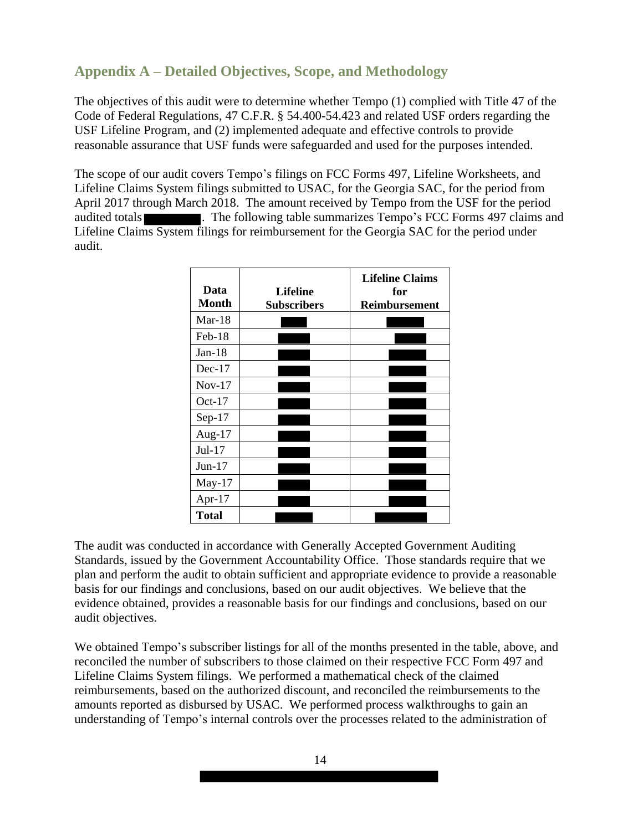# **Appendix A – Detailed Objectives, Scope, and Methodology**

The objectives of this audit were to determine whether Tempo (1) complied with Title 47 of the Code of Federal Regulations, 47 C.F.R. § 54.400-54.423 and related USF orders regarding the USF Lifeline Program, and (2) implemented adequate and effective controls to provide reasonable assurance that USF funds were safeguarded and used for the purposes intended.

The scope of our audit covers Tempo's filings on FCC Forms 497, Lifeline Worksheets, and Lifeline Claims System filings submitted to USAC, for the Georgia SAC, for the period from April 2017 through March 2018. The amount received by Tempo from the USF for the period audited totals . The following table summarizes Tempo's FCC Forms 497 claims and Lifeline Claims System filings for reimbursement for the Georgia SAC for the period under audit.

| Data<br><b>Month</b> | <b>Lifeline</b><br><b>Subscribers</b> | <b>Lifeline Claims</b><br>for<br><b>Reimbursement</b> |
|----------------------|---------------------------------------|-------------------------------------------------------|
| $Mar-18$             |                                       |                                                       |
| $Feb-18$             |                                       |                                                       |
| $Jan-18$             |                                       |                                                       |
| $Dec-17$             |                                       |                                                       |
| $Nov-17$             |                                       |                                                       |
| Oct- $17$            |                                       |                                                       |
| $Sep-17$             |                                       |                                                       |
| Aug- $17$            |                                       |                                                       |
| $Jul-17$             |                                       |                                                       |
| $Jun-17$             |                                       |                                                       |
| $May-17$             |                                       |                                                       |
| Apr- $17$            |                                       |                                                       |
| <b>Total</b>         |                                       |                                                       |

The audit was conducted in accordance with Generally Accepted Government Auditing Standards, issued by the Government Accountability Office. Those standards require that we plan and perform the audit to obtain sufficient and appropriate evidence to provide a reasonable basis for our findings and conclusions, based on our audit objectives. We believe that the evidence obtained, provides a reasonable basis for our findings and conclusions, based on our audit objectives.

We obtained Tempo's subscriber listings for all of the months presented in the table, above, and reconciled the number of subscribers to those claimed on their respective FCC Form 497 and Lifeline Claims System filings. We performed a mathematical check of the claimed reimbursements, based on the authorized discount, and reconciled the reimbursements to the amounts reported as disbursed by USAC. We performed process walkthroughs to gain an understanding of Tempo's internal controls over the processes related to the administration of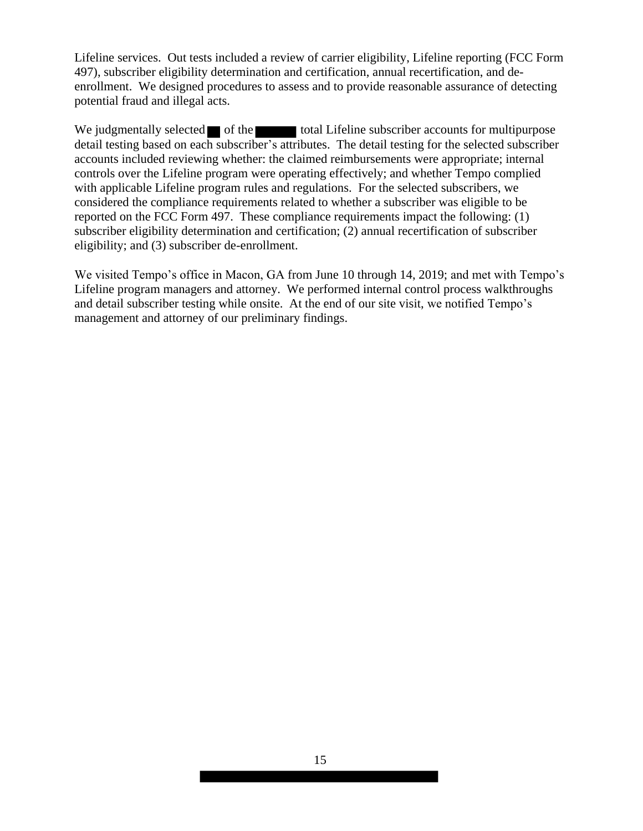Lifeline services. Out tests included a review of carrier eligibility, Lifeline reporting (FCC Form 497), subscriber eligibility determination and certification, annual recertification, and deenrollment. We designed procedures to assess and to provide reasonable assurance of detecting potential fraud and illegal acts.

We judgmentally selected  $\blacksquare$  of the total Lifeline subscriber accounts for multipurpose detail testing based on each subscriber's attributes. The detail testing for the selected subscriber accounts included reviewing whether: the claimed reimbursements were appropriate; internal controls over the Lifeline program were operating effectively; and whether Tempo complied with applicable Lifeline program rules and regulations. For the selected subscribers, we considered the compliance requirements related to whether a subscriber was eligible to be reported on the FCC Form 497. These compliance requirements impact the following: (1) subscriber eligibility determination and certification; (2) annual recertification of subscriber eligibility; and (3) subscriber de-enrollment.

We visited Tempo's office in Macon, GA from June 10 through 14, 2019; and met with Tempo's Lifeline program managers and attorney. We performed internal control process walkthroughs and detail subscriber testing while onsite. At the end of our site visit, we notified Tempo's management and attorney of our preliminary findings.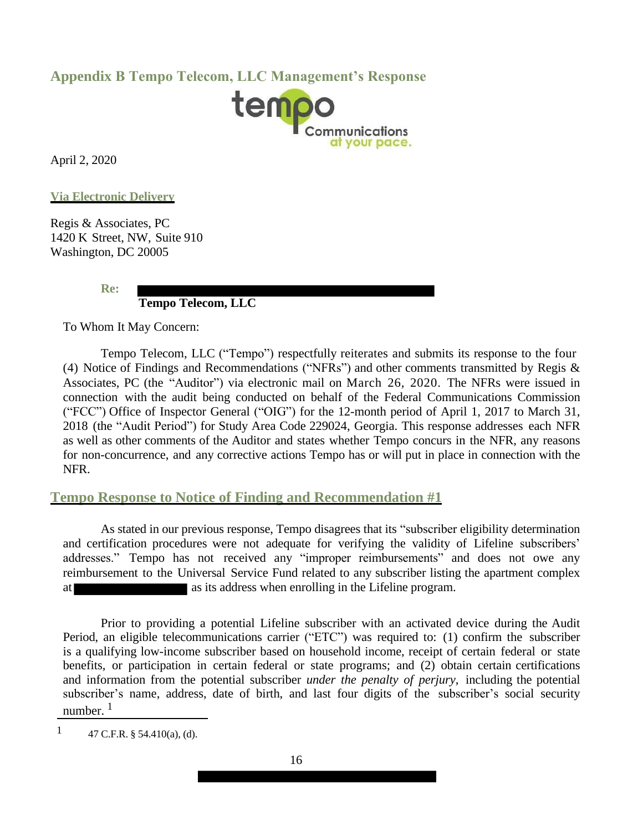## **Appendix B Tempo Telecom, LLC Management's Response**



April 2, 2020

**Via Electronic Delivery**

Regis & Associates, PC 1420 K Street, NW, Suite 910 Washington, DC 20005

**Re:** 

## **Tempo Telecom, LLC**

To Whom It May Concern:

Tempo Telecom, LLC ("Tempo") respectfully reiterates and submits its response to the four (4) Notice of Findings and Recommendations ("NFRs") and other comments transmitted by Regis & Associates, PC (the "Auditor") via electronic mail on March 26, 2020. The NFRs were issued in connection with the audit being conducted on behalf of the Federal Communications Commission ("FCC") Office of Inspector General ("OIG") for the 12-month period of April 1, 2017 to March 31, 2018 (the "Audit Period") for Study Area Code 229024, Georgia. This response addresses each NFR as well as other comments of the Auditor and states whether Tempo concurs in the NFR, any reasons for non-concurrence, and any corrective actions Tempo has or will put in place in connection with the NFR.

## **Tempo Response to Notice of Finding and Recommendation #1**

As stated in our previous response, Tempo disagrees that its "subscriber eligibility determination and certification procedures were not adequate for verifying the validity of Lifeline subscribers' addresses." Tempo has not received any "improper reimbursements" and does not owe any reimbursement to the Universal Service Fund related to any subscriber listing the apartment complex at as its address when enrolling in the Lifeline program.

Prior to providing a potential Lifeline subscriber with an activated device during the Audit Period, an eligible telecommunications carrier ("ETC") was required to: (1) confirm the subscriber is a qualifying low-income subscriber based on household income, receipt of certain federal or state benefits, or participation in certain federal or state programs; and (2) obtain certain certifications and information from the potential subscriber *under the penalty of perjury*, including the potential subscriber's name, address, date of birth, and last four digits of the subscriber's social security number.  $<sup>1</sup>$ </sup>

1 47 C.F.R. § 54.410(a), (d).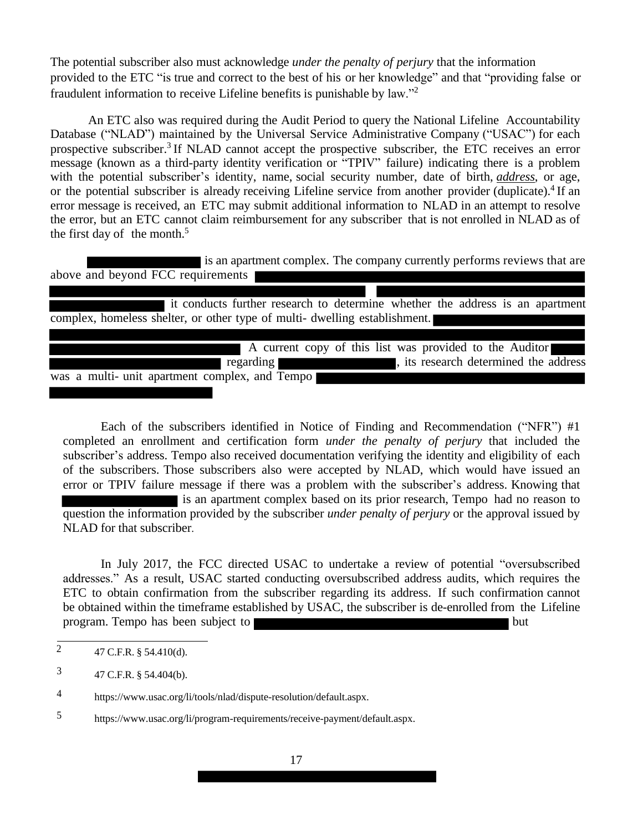The potential subscriber also must acknowledge *under the penalty of perjury* that the information provided to the ETC "is true and correct to the best of his or her knowledge" and that "providing false or fraudulent information to receive Lifeline benefits is punishable by law."<sup>2</sup>

An ETC also was required during the Audit Period to query the National Lifeline Accountability Database ("NLAD") maintained by the Universal Service Administrative Company ("USAC") for each prospective subscriber.<sup>3</sup> If NLAD cannot accept the prospective subscriber, the ETC receives an error message (known as a third-party identity verification or "TPIV" failure) indicating there is a problem with the potential subscriber's identity, name, social security number, date of birth, *address*, or age, or the potential subscriber is already receiving Lifeline service from another provider (duplicate).<sup>4</sup> If an error message is received, an ETC may submit additional information to NLAD in an attempt to resolve the error, but an ETC cannot claim reimbursement for any subscriber that is not enrolled in NLAD as of the first day of the month.<sup>5</sup>

 is an apartment complex. The company currently performs reviews that are above and beyond FCC requirements

| it conducts further research to determine whether the address is an apartment |  |  |                                           |
|-------------------------------------------------------------------------------|--|--|-------------------------------------------|
| complex, homeless shelter, or other type of multi- dwelling establishment.    |  |  |                                           |
|                                                                               |  |  |                                           |
| A current copy of this list was provided to the Auditor                       |  |  |                                           |
| regarding                                                                     |  |  | state its research determined the address |
| was a multi- unit apartment complex, and Tempo                                |  |  |                                           |

Each of the subscribers identified in Notice of Finding and Recommendation ("NFR") #1 completed an enrollment and certification form *under the penalty of perjury* that included the subscriber's address. Tempo also received documentation verifying the identity and eligibility of each of the subscribers. Those subscribers also were accepted by NLAD, which would have issued an error or TPIV failure message if there was a problem with the subscriber's address. Knowing that is an apartment complex based on its prior research, Tempo had no reason to question the information provided by the subscriber *under penalty of perjury* or the approval issued by NLAD for that subscriber.

In July 2017, the FCC directed USAC to undertake a review of potential "oversubscribed addresses." As a result, USAC started conducting oversubscribed address audits, which requires the ETC to obtain confirmation from the subscriber regarding its address. If such confirmation cannot be obtained within the timeframe established by USAC, the subscriber is de-enrolled from the Lifeline program. Tempo has been subject to **but** 

3 47 C.F.R. § 54.404(b).

5 https://www.usac.org/li/program-requirements/receive-payment/default.aspx.

 $\overline{2}$  47 C.F.R. § 54.410(d).

<sup>4</sup> https://www.usac.org/li/tools/nlad/dispute-resolution/default.aspx.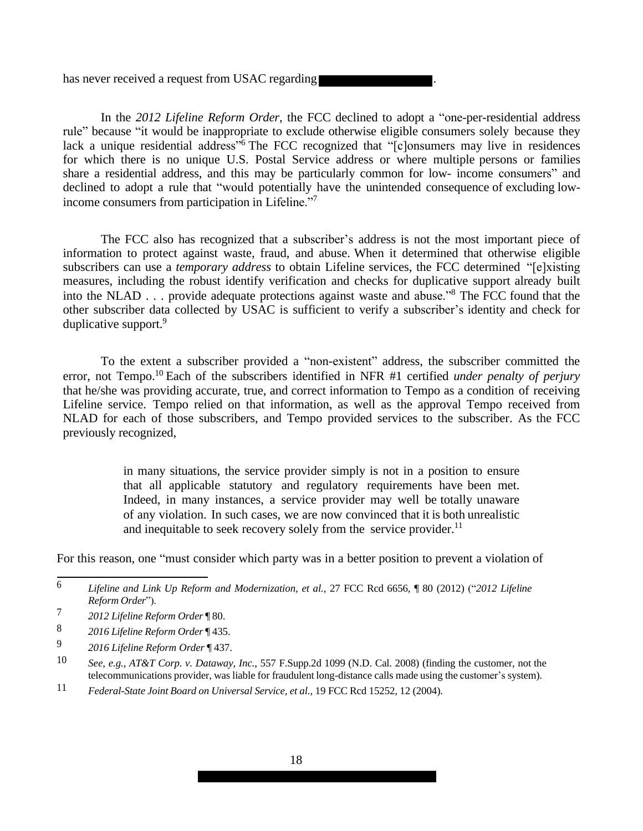has never received a request from USAC regarding

In the *2012 Lifeline Reform Order*, the FCC declined to adopt a "one-per-residential address rule" because "it would be inappropriate to exclude otherwise eligible consumers solely because they lack a unique residential address<sup>36</sup> The FCC recognized that "[c]onsumers may live in residences for which there is no unique U.S. Postal Service address or where multiple persons or families share a residential address, and this may be particularly common for low- income consumers" and declined to adopt a rule that "would potentially have the unintended consequence of excluding lowincome consumers from participation in Lifeline."<sup>7</sup>

The FCC also has recognized that a subscriber's address is not the most important piece of information to protect against waste, fraud, and abuse. When it determined that otherwise eligible subscribers can use a *temporary address* to obtain Lifeline services, the FCC determined "[e]xisting measures, including the robust identify verification and checks for duplicative support already built into the NLAD . . . provide adequate protections against waste and abuse."<sup>8</sup> The FCC found that the other subscriber data collected by USAC is sufficient to verify a subscriber's identity and check for duplicative support.<sup>9</sup>

To the extent a subscriber provided a "non-existent" address, the subscriber committed the error, not Tempo.<sup>10</sup> Each of the subscribers identified in NFR #1 certified *under penalty of perjury*  that he/she was providing accurate, true, and correct information to Tempo as a condition of receiving Lifeline service. Tempo relied on that information, as well as the approval Tempo received from NLAD for each of those subscribers, and Tempo provided services to the subscriber. As the FCC previously recognized,

> in many situations, the service provider simply is not in a position to ensure that all applicable statutory and regulatory requirements have been met. Indeed, in many instances, a service provider may well be totally unaware of any violation. In such cases, we are now convinced that it is both unrealistic and inequitable to seek recovery solely from the service provider.<sup>11</sup>

For this reason, one "must consider which party was in a better position to prevent a violation of

<sup>6</sup> *Lifeline and Link Up Reform and Modernization, et al.*, 27 FCC Rcd 6656, ¶ 80 (2012) ("*2012 Lifeline Reform Order*").

<sup>7</sup> *2012 Lifeline Reform Order* ¶ 80.

<sup>8</sup> *2016 Lifeline Reform Order* ¶ 435.

<sup>9</sup> *2016 Lifeline Reform Order* ¶ 437.

<sup>10</sup> *See, e.g.*, *AT&T Corp. v. Dataway, Inc.*, 557 F.Supp.2d 1099 (N.D. Cal. 2008) (finding the customer, not the telecommunications provider, was liable for fraudulent long-distance calls made using the customer's system).

<sup>11</sup> *Federal-State Joint Board on Universal Service, et al.*, 19 FCC Rcd 15252, 12 (2004).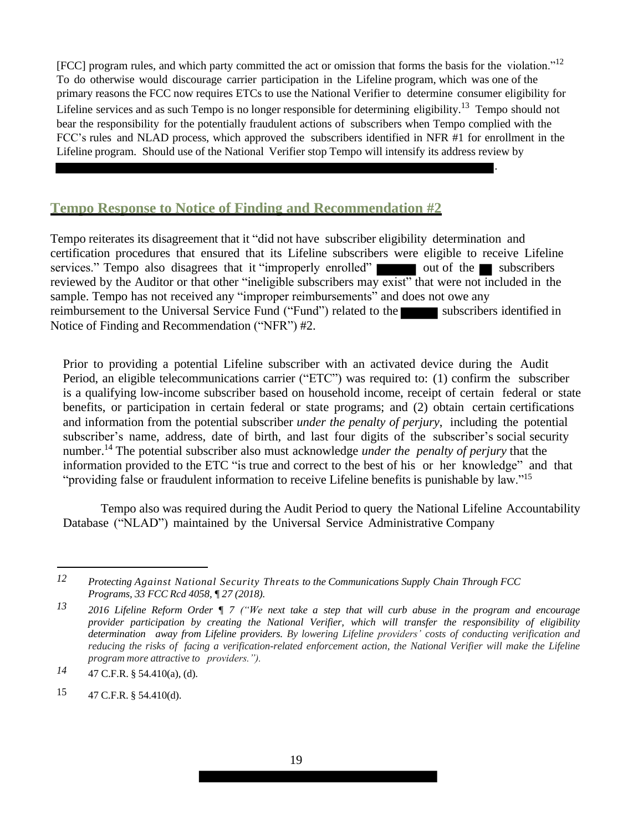[FCC] program rules, and which party committed the act or omission that forms the basis for the violation."<sup>12</sup> To do otherwise would discourage carrier participation in the Lifeline program, which was one of the primary reasons the FCC now requires ETCs to use the National Verifier to determine consumer eligibility for Lifeline services and as such Tempo is no longer responsible for determining eligibility.<sup>13</sup> Tempo should not bear the responsibility for the potentially fraudulent actions of subscribers when Tempo complied with the FCC's rules and NLAD process, which approved the subscribers identified in NFR #1 for enrollment in the Lifeline program. Should use of the National Verifier stop Tempo will intensify its address review by

.

#### **Tempo Response to Notice of Finding and Recommendation #2**

Tempo reiterates its disagreement that it "did not have subscriber eligibility determination and certification procedures that ensured that its Lifeline subscribers were eligible to receive Lifeline services." Tempo also disagrees that it "improperly enrolled"  $\Box$  out of the subscribers reviewed by the Auditor or that other "ineligible subscribers may exist" that were not included in the sample. Tempo has not received any "improper reimbursements" and does not owe any reimbursement to the Universal Service Fund ("Fund") related to the subscribers identified in Notice of Finding and Recommendation ("NFR") #2.

Prior to providing a potential Lifeline subscriber with an activated device during the Audit Period, an eligible telecommunications carrier ("ETC") was required to: (1) confirm the subscriber is a qualifying low-income subscriber based on household income, receipt of certain federal or state benefits, or participation in certain federal or state programs; and (2) obtain certain certifications and information from the potential subscriber *under the penalty of perjury*, including the potential subscriber's name, address, date of birth, and last four digits of the subscriber's social security number.<sup>14</sup> The potential subscriber also must acknowledge *under the penalty of perjury* that the information provided to the ETC "is true and correct to the best of his or her knowledge" and that "providing false or fraudulent information to receive Lifeline benefits is punishable by law."<sup>15</sup>

Tempo also was required during the Audit Period to query the National Lifeline Accountability Database ("NLAD") maintained by the Universal Service Administrative Company

*<sup>12</sup> Protecting Against National Security Threats to the Communications Supply Chain Through FCC Programs, 33 FCC Rcd 4058, ¶ 27 (2018).*

*<sup>13</sup> 2016 Lifeline Reform Order ¶ 7 ("We next take a step that will curb abuse in the program and encourage provider participation by creating the National Verifier, which will transfer the responsibility of eligibility determination away from Lifeline providers. By lowering Lifeline providers' costs of conducting verification and reducing the risks of facing a verification-related enforcement action, the National Verifier will make the Lifeline program more attractive to providers.").*

*<sup>14</sup>* 47 C.F.R. § 54.410(a), (d).

<sup>15</sup>  $47$  C.F.R. § 54.410(d).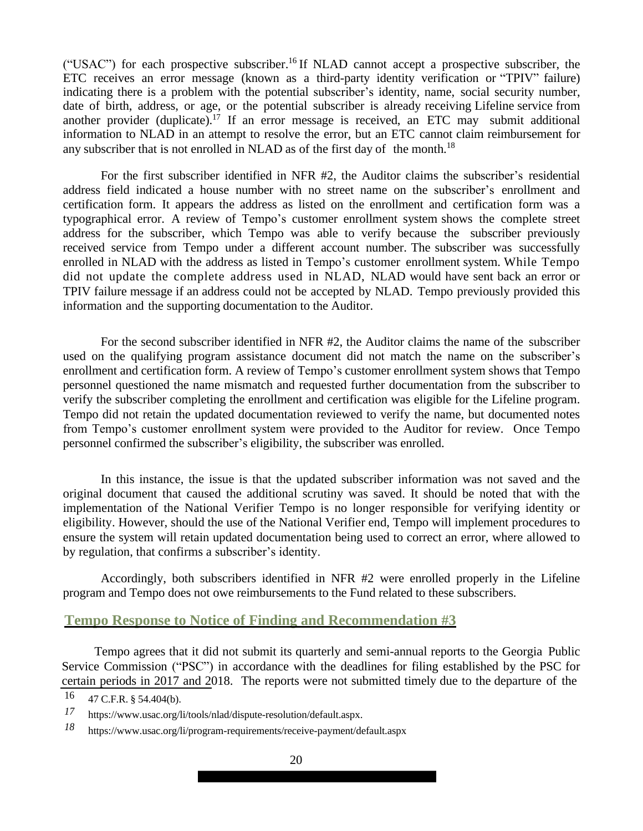("USAC") for each prospective subscriber.<sup>16</sup> If NLAD cannot accept a prospective subscriber, the ETC receives an error message (known as a third-party identity verification or "TPIV" failure) indicating there is a problem with the potential subscriber's identity, name, social security number, date of birth, address, or age, or the potential subscriber is already receiving Lifeline service from another provider (duplicate).<sup>17</sup> If an error message is received, an ETC may submit additional information to NLAD in an attempt to resolve the error, but an ETC cannot claim reimbursement for any subscriber that is not enrolled in NLAD as of the first day of the month.<sup>18</sup>

For the first subscriber identified in NFR #2, the Auditor claims the subscriber's residential address field indicated a house number with no street name on the subscriber's enrollment and certification form. It appears the address as listed on the enrollment and certification form was a typographical error. A review of Tempo's customer enrollment system shows the complete street address for the subscriber, which Tempo was able to verify because the subscriber previously received service from Tempo under a different account number. The subscriber was successfully enrolled in NLAD with the address as listed in Tempo's customer enrollment system. While Tempo did not update the complete address used in NLAD, NLAD would have sent back an error or TPIV failure message if an address could not be accepted by NLAD. Tempo previously provided this information and the supporting documentation to the Auditor.

For the second subscriber identified in NFR #2, the Auditor claims the name of the subscriber used on the qualifying program assistance document did not match the name on the subscriber's enrollment and certification form. A review of Tempo's customer enrollment system shows that Tempo personnel questioned the name mismatch and requested further documentation from the subscriber to verify the subscriber completing the enrollment and certification was eligible for the Lifeline program. Tempo did not retain the updated documentation reviewed to verify the name, but documented notes from Tempo's customer enrollment system were provided to the Auditor for review. Once Tempo personnel confirmed the subscriber's eligibility, the subscriber was enrolled.

In this instance, the issue is that the updated subscriber information was not saved and the original document that caused the additional scrutiny was saved. It should be noted that with the implementation of the National Verifier Tempo is no longer responsible for verifying identity or eligibility. However, should the use of the National Verifier end, Tempo will implement procedures to ensure the system will retain updated documentation being used to correct an error, where allowed to by regulation, that confirms a subscriber's identity.

Accordingly, both subscribers identified in NFR #2 were enrolled properly in the Lifeline program and Tempo does not owe reimbursements to the Fund related to these subscribers.

#### **Tempo Response to Notice of Finding and Recommendation #3**

Tempo agrees that it did not submit its quarterly and semi-annual reports to the Georgia Public Service Commission ("PSC") in accordance with the deadlines for filing established by the PSC for certain periods in 2017 and 2018. The reports were not submitted timely due to the departure of the

<sup>16</sup> 47 C.F.R. § 54.404(b).

*<sup>17</sup>* https://www.usac.org/li/tools/nlad/dispute-resolution/default.aspx.

*<sup>18</sup>* https://www.usac.org/li/program-requirements/receive-payment/default.aspx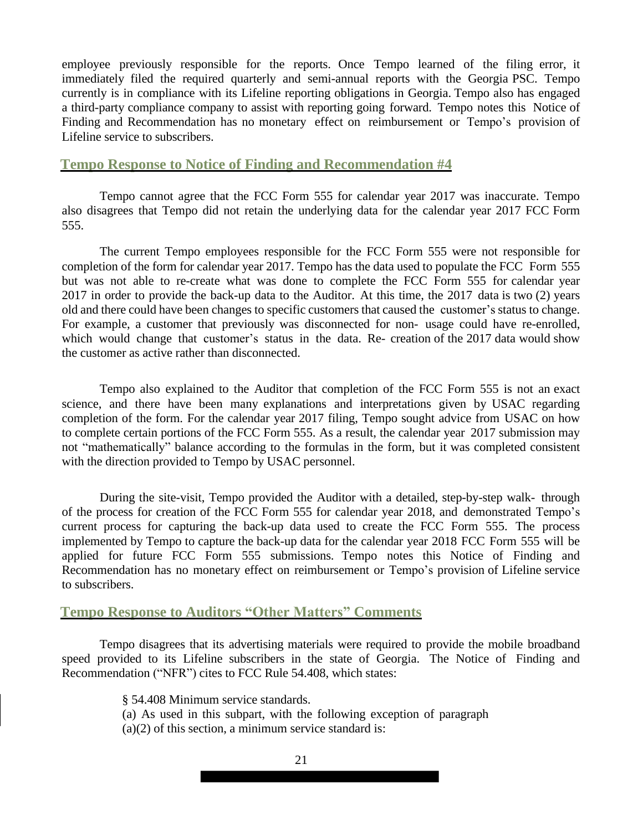employee previously responsible for the reports. Once Tempo learned of the filing error, it immediately filed the required quarterly and semi-annual reports with the Georgia PSC. Tempo currently is in compliance with its Lifeline reporting obligations in Georgia. Tempo also has engaged a third-party compliance company to assist with reporting going forward. Tempo notes this Notice of Finding and Recommendation has no monetary effect on reimbursement or Tempo's provision of Lifeline service to subscribers.

#### **Tempo Response to Notice of Finding and Recommendation #4**

Tempo cannot agree that the FCC Form 555 for calendar year 2017 was inaccurate. Tempo also disagrees that Tempo did not retain the underlying data for the calendar year 2017 FCC Form 555.

The current Tempo employees responsible for the FCC Form 555 were not responsible for completion of the form for calendar year 2017. Tempo has the data used to populate the FCC Form 555 but was not able to re-create what was done to complete the FCC Form 555 for calendar year 2017 in order to provide the back-up data to the Auditor. At this time, the 2017 data is two (2) years old and there could have been changes to specific customers that caused the customer's status to change. For example, a customer that previously was disconnected for non- usage could have re-enrolled, which would change that customer's status in the data. Re- creation of the 2017 data would show the customer as active rather than disconnected.

Tempo also explained to the Auditor that completion of the FCC Form 555 is not an exact science, and there have been many explanations and interpretations given by USAC regarding completion of the form. For the calendar year 2017 filing, Tempo sought advice from USAC on how to complete certain portions of the FCC Form 555. As a result, the calendar year 2017 submission may not "mathematically" balance according to the formulas in the form, but it was completed consistent with the direction provided to Tempo by USAC personnel.

During the site-visit, Tempo provided the Auditor with a detailed, step-by-step walk- through of the process for creation of the FCC Form 555 for calendar year 2018, and demonstrated Tempo's current process for capturing the back-up data used to create the FCC Form 555. The process implemented by Tempo to capture the back-up data for the calendar year 2018 FCC Form 555 will be applied for future FCC Form 555 submissions. Tempo notes this Notice of Finding and Recommendation has no monetary effect on reimbursement or Tempo's provision of Lifeline service to subscribers.

#### **Tempo Response to Auditors "Other Matters" Comments**

Tempo disagrees that its advertising materials were required to provide the mobile broadband speed provided to its Lifeline subscribers in the state of Georgia. The Notice of Finding and Recommendation ("NFR") cites to FCC Rule 54.408, which states:

§ 54.408 Minimum service standards.

- (a) As used in this subpart, with the following exception of paragraph
- $(a)(2)$  of this section, a minimum service standard is: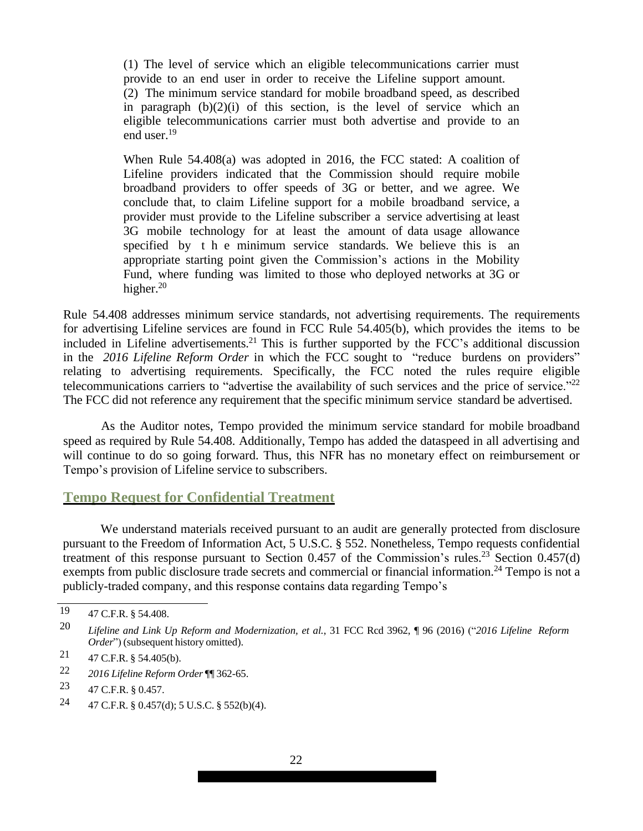(1) The level of service which an eligible telecommunications carrier must provide to an end user in order to receive the Lifeline support amount. (2) The minimum service standard for mobile broadband speed, as described in paragraph  $(b)(2)(i)$  of this section, is the level of service which an eligible telecommunications carrier must both advertise and provide to an end user.<sup>19</sup>

When Rule 54.408(a) was adopted in 2016, the FCC stated: A coalition of Lifeline providers indicated that the Commission should require mobile broadband providers to offer speeds of 3G or better, and we agree. We conclude that, to claim Lifeline support for a mobile broadband service, a provider must provide to the Lifeline subscriber a service advertising at least 3G mobile technology for at least the amount of data usage allowance specified by t h e minimum service standards. We believe this is an appropriate starting point given the Commission's actions in the Mobility Fund, where funding was limited to those who deployed networks at 3G or higher. $20$ 

Rule 54.408 addresses minimum service standards, not advertising requirements. The requirements for advertising Lifeline services are found in FCC Rule 54.405(b), which provides the items to be included in Lifeline advertisements.<sup>21</sup> This is further supported by the FCC's additional discussion in the *2016 Lifeline Reform Order* in which the FCC sought to "reduce burdens on providers" relating to advertising requirements. Specifically, the FCC noted the rules require eligible telecommunications carriers to "advertise the availability of such services and the price of service."<sup>22</sup> The FCC did not reference any requirement that the specific minimum service standard be advertised.

As the Auditor notes, Tempo provided the minimum service standard for mobile broadband speed as required by Rule 54.408. Additionally, Tempo has added the dataspeed in all advertising and will continue to do so going forward. Thus, this NFR has no monetary effect on reimbursement or Tempo's provision of Lifeline service to subscribers.

#### **Tempo Request for Confidential Treatment**

We understand materials received pursuant to an audit are generally protected from disclosure pursuant to the Freedom of Information Act, 5 U.S.C. § 552. Nonetheless, Tempo requests confidential treatment of this response pursuant to Section 0.457 of the Commission's rules.<sup>23</sup> Section 0.457(d) exempts from public disclosure trade secrets and commercial or financial information.<sup>24</sup> Tempo is not a publicly-traded company, and this response contains data regarding Tempo's

24  $47$  C.F.R. § 0.457(d); 5 U.S.C. § 552(b)(4).

<sup>19</sup> 47 C.F.R. § 54.408.

<sup>20</sup> *Lifeline and Link Up Reform and Modernization, et al.*, 31 FCC Rcd 3962, ¶ 96 (2016) ("*2016 Lifeline Reform Order*") (subsequent history omitted).

<sup>21</sup>  $47$  C.F.R. § 54.405(b).

<sup>22</sup> *2016 Lifeline Reform Order* ¶¶ 362-65.

<sup>23</sup> 47 C.F.R. § 0.457.